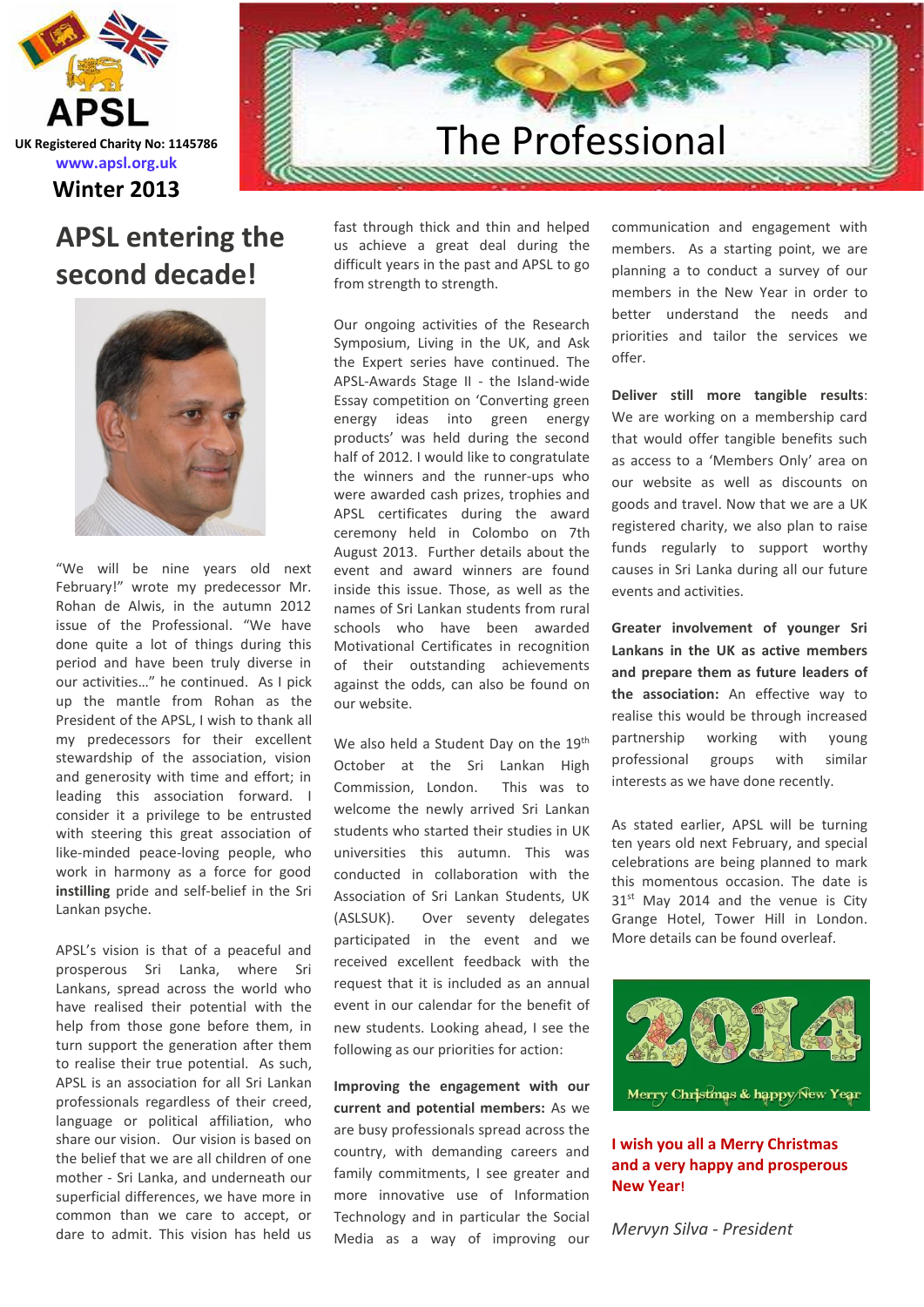

# **APSL entering the second decade!**



"We will be nine years old next February!" wrote my predecessor Mr. Rohan de Alwis, in the autumn 2012 issue of the Professional. "We have done quite a lot of things during this period and have been truly diverse in our activities…" he continued. As I pick up the mantle from Rohan as the President of the APSL, I wish to thank all my predecessors for their excellent stewardship of the association, vision and generosity with time and effort; in leading this association forward. I consider it a privilege to be entrusted with steering this great association of like-minded peace-loving people, who work in harmony as a force for good **instilling** pride and self-belief in the Sri Lankan psyche.

APSL's vision is that of a peaceful and prosperous Sri Lanka, where Sri Lankans, spread across the world who have realised their potential with the help from those gone before them, in turn support the generation after them to realise their true potential. As such, APSL is an association for all Sri Lankan professionals regardless of their creed, language or political affiliation, who share our vision. Our vision is based on the belief that we are all children of one mother - Sri Lanka, and underneath our superficial differences, we have more in common than we care to accept, or dare to admit. This vision has held us

# The Professional

fast through thick and thin and helped us achieve a great deal during the difficult years in the past and APSL to go from strength to strength.

Our ongoing activities of the Research Symposium, Living in the UK, and Ask the Expert series have continued. The APSL-Awards Stage II - the Island-wide Essay competition on 'Converting green energy ideas into green energy products' was held during the second half of 2012. I would like to congratulate the winners and the runner-ups who were awarded cash prizes, trophies and APSL certificates during the award ceremony held in Colombo on 7th August 2013. Further details about the event and award winners are found inside this issue. Those, as well as the names of Sri Lankan students from rural schools who have been awarded Motivational Certificates in recognition of their outstanding achievements against the odds, can also be found on our website.

We also held a Student Day on the 19th October at the Sri Lankan High Commission, London. This was to welcome the newly arrived Sri Lankan students who started their studies in UK universities this autumn. This was conducted in collaboration with the Association of Sri Lankan Students, UK (ASLSUK). Over seventy delegates participated in the event and we received excellent feedback with the request that it is included as an annual event in our calendar for the benefit of new students. Looking ahead, I see the following as our priorities for action:

**Improving the engagement with our current and potential members:** As we are busy professionals spread across the country, with demanding careers and family commitments, I see greater and more innovative use of Information Technology and in particular the Social Media as a way of improving our

communication and engagement with members. As a starting point, we are planning a to conduct a survey of our members in the New Year in order to better understand the needs and priorities and tailor the services we offer.

**Deliver still more tangible results**: We are working on a membership card that would offer tangible benefits such as access to a 'Members Only' area on our website as well as discounts on goods and travel. Now that we are a UK registered charity, we also plan to raise funds regularly to support worthy causes in Sri Lanka during all our future events and activities.

**Greater involvement of younger Sri Lankans in the UK as active members and prepare them as future leaders of the association:** An effective way to realise this would be through increased partnership working with young professional groups with similar interests as we have done recently.

As stated earlier, APSL will be turning ten years old next February, and special celebrations are being planned to mark this momentous occasion. The date is  $31<sup>st</sup>$  May 2014 and the venue is City Grange Hotel, Tower Hill in London. More details can be found overleaf.



**I wish you all a Merry Christmas and a very happy and prosperous New Year!**

*Mervyn Silva - President*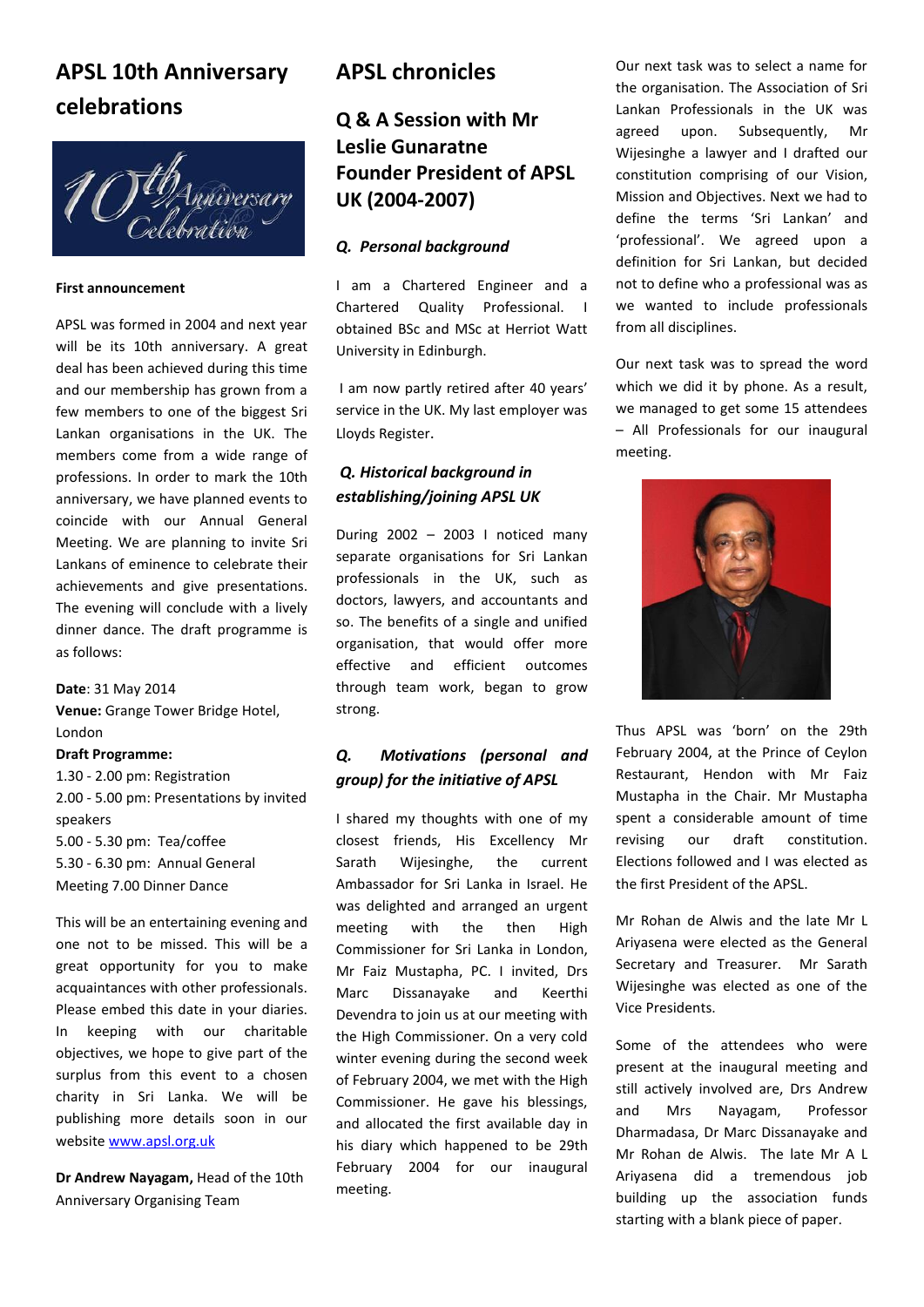# **APSL 10th Anniversary celebrations**



#### **First announcement**

APSL was formed in 2004 and next year will be its 10th anniversary. A great deal has been achieved during this time and our membership has grown from a few members to one of the biggest Sri Lankan organisations in the UK. The members come from a wide range of professions. In order to mark the 10th anniversary, we have planned events to coincide with our Annual General Meeting. We are planning to invite Sri Lankans of eminence to celebrate their achievements and give presentations. The evening will conclude with a lively dinner dance. The draft programme is as follows:

**Date**: 31 May 2014 **Venue:** Grange Tower Bridge Hotel, London **Draft Programme:**

1.30 - 2.00 pm: Registration 2.00 - 5.00 pm: Presentations by invited speakers 5.00 - 5.30 pm: Tea/coffee 5.30 - 6.30 pm: Annual General Meeting 7.00 Dinner Dance

This will be an entertaining evening and one not to be missed. This will be a great opportunity for you to make acquaintances with other professionals. Please embed this date in your diaries. In keeping with our charitable objectives, we hope to give part of the surplus from this event to a chosen charity in Sri Lanka. We will be publishing more details soon in our website [www.apsl.org.uk](http://www.apsl.org.uk/)

**Dr Andrew Nayagam,** Head of the 10th Anniversary Organising Team

### **APSL chronicles**

### **Q & A Session with Mr Leslie Gunaratne Founder President of APSL UK (2004-2007)**

### *Q. Personal background*

I am a Chartered Engineer and a Chartered Quality Professional. I obtained BSc and MSc at Herriot Watt University in Edinburgh.

I am now partly retired after 40 years' service in the UK. My last employer was Lloyds Register.

### *Q. Historical background in establishing/joining APSL UK*

During 2002 – 2003 I noticed many separate organisations for Sri Lankan professionals in the UK, such as doctors, lawyers, and accountants and so. The benefits of a single and unified organisation, that would offer more effective and efficient outcomes through team work, began to grow strong.

### *Q. Motivations (personal and group) for the initiative of APSL*

I shared my thoughts with one of my closest friends, His Excellency Mr Sarath Wijesinghe, the current Ambassador for Sri Lanka in Israel. He was delighted and arranged an urgent meeting with the then High Commissioner for Sri Lanka in London, Mr Faiz Mustapha, PC. I invited, Drs Marc Dissanayake and Keerthi Devendra to join us at our meeting with the High Commissioner. On a very cold winter evening during the second week of February 2004, we met with the High Commissioner. He gave his blessings, and allocated the first available day in his diary which happened to be 29th February 2004 for our inaugural meeting.

Our next task was to select a name for the organisation. The Association of Sri Lankan Professionals in the UK was agreed upon. Subsequently, Mr Wijesinghe a lawyer and I drafted our constitution comprising of our Vision, Mission and Objectives. Next we had to define the terms 'Sri Lankan' and 'professional'. We agreed upon a definition for Sri Lankan, but decided not to define who a professional was as we wanted to include professionals from all disciplines.

Our next task was to spread the word which we did it by phone. As a result, we managed to get some 15 attendees – All Professionals for our inaugural meeting.



Thus APSL was 'born' on the 29th February 2004, at the Prince of Ceylon Restaurant, Hendon with Mr Faiz Mustapha in the Chair. Mr Mustapha spent a considerable amount of time revising our draft constitution. Elections followed and I was elected as the first President of the APSL.

Mr Rohan de Alwis and the late Mr L Ariyasena were elected as the General Secretary and Treasurer. Mr Sarath Wijesinghe was elected as one of the Vice Presidents.

Some of the attendees who were present at the inaugural meeting and still actively involved are, Drs Andrew and Mrs Nayagam, Professor Dharmadasa, Dr Marc Dissanayake and Mr Rohan de Alwis. The late Mr A L Ariyasena did a tremendous job building up the association funds starting with a blank piece of paper.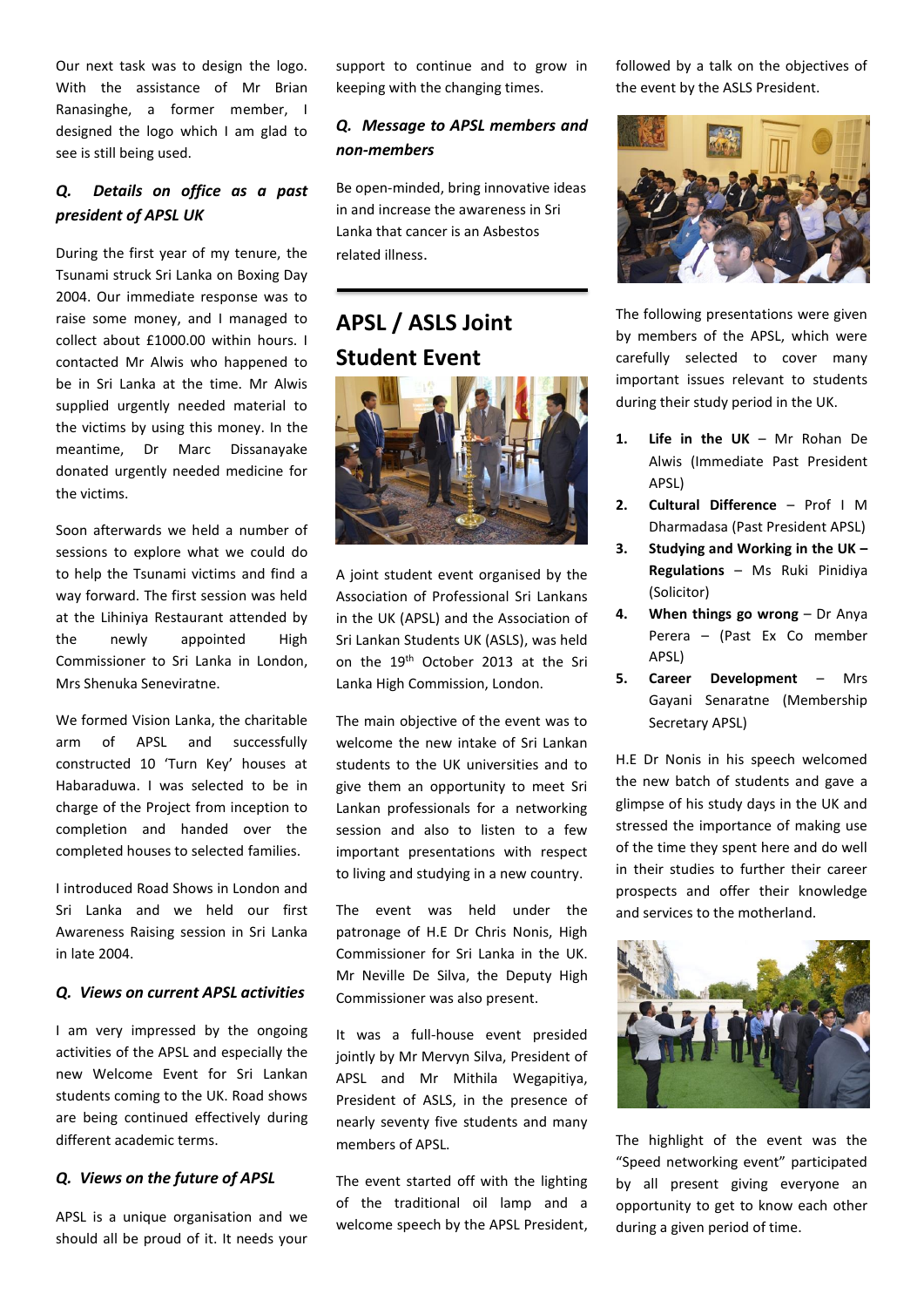Our next task was to design the logo. With the assistance of Mr Brian Ranasinghe, a former member, I designed the logo which I am glad to see is still being used.

### *Q. Details on office as a past president of APSL UK*

During the first year of my tenure, the Tsunami struck Sri Lanka on Boxing Day 2004. Our immediate response was to raise some money, and I managed to collect about £1000.00 within hours. I contacted Mr Alwis who happened to be in Sri Lanka at the time. Mr Alwis supplied urgently needed material to the victims by using this money. In the meantime, Dr Marc Dissanayake donated urgently needed medicine for the victims.

Soon afterwards we held a number of sessions to explore what we could do to help the Tsunami victims and find a way forward. The first session was held at the Lihiniya Restaurant attended by the newly appointed High Commissioner to Sri Lanka in London, Mrs Shenuka Seneviratne.

We formed Vision Lanka, the charitable arm of APSL and successfully constructed 10 'Turn Key' houses at Habaraduwa. I was selected to be in charge of the Project from inception to completion and handed over the completed houses to selected families.

I introduced Road Shows in London and Sri Lanka and we held our first Awareness Raising session in Sri Lanka in late 2004.

### *Q. Views on current APSL activities*

I am very impressed by the ongoing activities of the APSL and especially the new Welcome Event for Sri Lankan students coming to the UK. Road shows are being continued effectively during different academic terms.

### *Q. Views on the future of APSL*

APSL is a unique organisation and we should all be proud of it. It needs your support to continue and to grow in keeping with the changing times.

### *Q. Message to APSL members and non-members*

Be open-minded, bring innovative ideas in and increase the awareness in Sri Lanka that cancer is an Asbestos related illness.

# **APSL / ASLS Joint Student Event**



A joint student event organised by the Association of Professional Sri Lankans in the UK (APSL) and the Association of Sri Lankan Students UK (ASLS), was held on the 19th October 2013 at the Sri Lanka High Commission, London.

The main objective of the event was to welcome the new intake of Sri Lankan students to the UK universities and to give them an opportunity to meet Sri Lankan professionals for a networking session and also to listen to a few important presentations with respect to living and studying in a new country.

The event was held under the patronage of H.E Dr Chris Nonis, High Commissioner for Sri Lanka in the UK. Mr Neville De Silva, the Deputy High Commissioner was also present.

It was a full-house event presided jointly by Mr Mervyn Silva, President of APSL and Mr Mithila Wegapitiya, President of ASLS, in the presence of nearly seventy five students and many members of APSL.

The event started off with the lighting of the traditional oil lamp and a welcome speech by the APSL President, followed by a talk on the objectives of the event by the ASLS President.



The following presentations were given by members of the APSL, which were carefully selected to cover many important issues relevant to students during their study period in the UK.

- **1. Life in the UK** Mr Rohan De Alwis (Immediate Past President APSL)
- **2. Cultural Difference** Prof I M Dharmadasa (Past President APSL)
- **3. Studying and Working in the UK – Regulations** – Ms Ruki Pinidiya (Solicitor)
- **4. When things go wrong** Dr Anya Perera – (Past Ex Co member APSL)
- **5. Career Development** Mrs Gayani Senaratne (Membership Secretary APSL)

H.E Dr Nonis in his speech welcomed the new batch of students and gave a glimpse of his study days in the UK and stressed the importance of making use of the time they spent here and do well in their studies to further their career prospects and offer their knowledge and services to the motherland.



The highlight of the event was the "Speed networking event" participated by all present giving everyone an opportunity to get to know each other during a given period of time.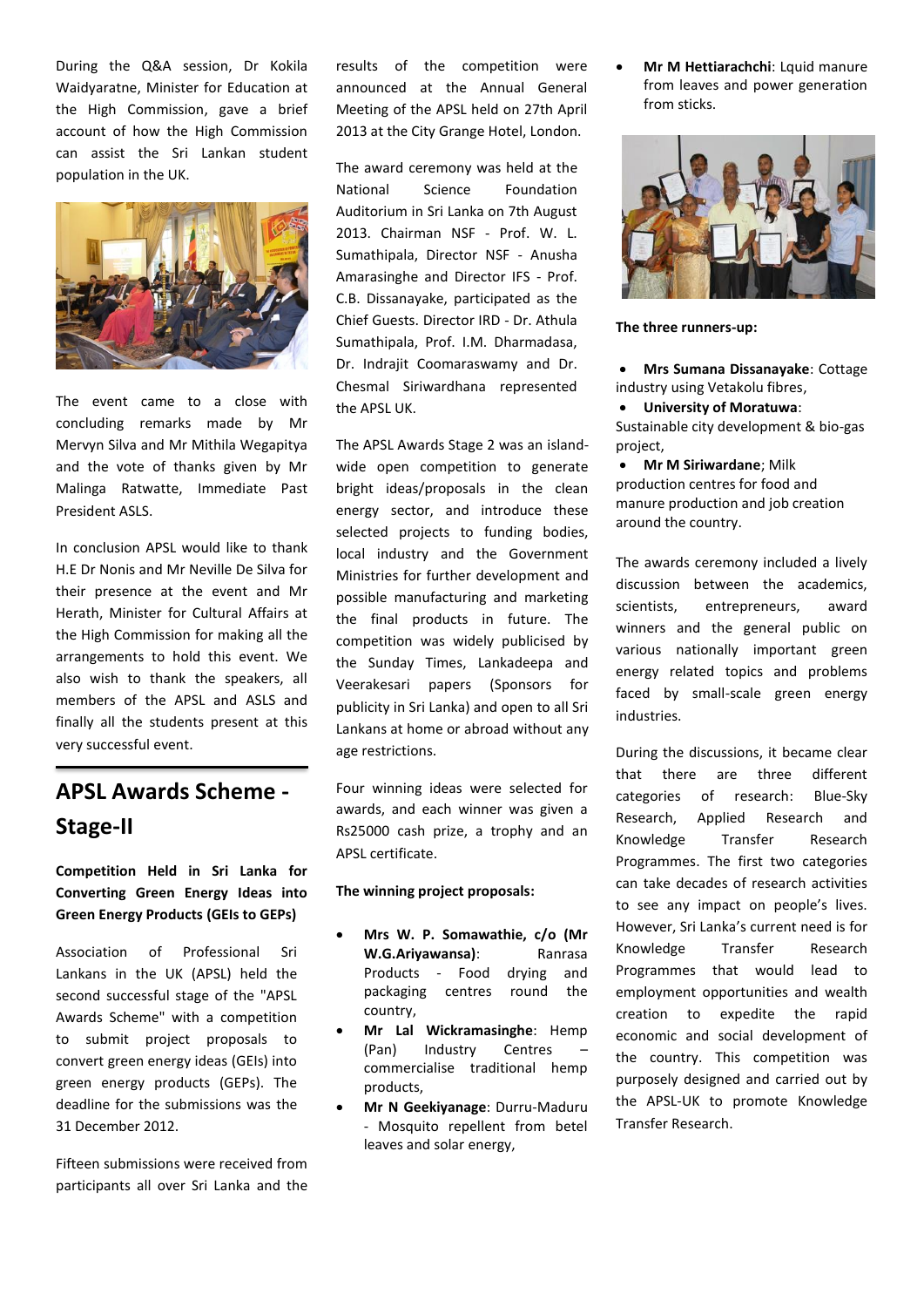During the Q&A session, Dr Kokila Waidyaratne, Minister for Education at the High Commission, gave a brief account of how the High Commission can assist the Sri Lankan student population in the UK.



The event came to a close with concluding remarks made by Mr Mervyn Silva and Mr Mithila Wegapitya and the vote of thanks given by Mr Malinga Ratwatte, Immediate Past President ASLS.

In conclusion APSL would like to thank H.E Dr Nonis and Mr Neville De Silva for their presence at the event and Mr Herath, Minister for Cultural Affairs at the High Commission for making all the arrangements to hold this event. We also wish to thank the speakers, all members of the APSL and ASLS and finally all the students present at this very successful event.

## **APSL Awards Scheme - Stage-II**

### **Competition Held in Sri Lanka for Converting Green Energy Ideas into Green Energy Products (GEIs to GEPs)**

Association of Professional Sri Lankans in the UK (APSL) held the second successful stage of the "APSL Awards Scheme" with a competition to submit project proposals to convert green energy ideas (GEIs) into green energy products (GEPs). The deadline for the submissions was the 31 December 2012.

Fifteen submissions were received from participants all over Sri Lanka and the results of the competition were announced at the Annual General Meeting of the APSL held on 27th April 2013 at the City Grange Hotel, London.

The award ceremony was held at the National Science Foundation Auditorium in Sri Lanka on 7th August 2013. Chairman NSF - Prof. W. L. Sumathipala, Director NSF - Anusha Amarasinghe and Director IFS - Prof. C.B. Dissanayake, participated as the Chief Guests. Director IRD - Dr. Athula Sumathipala, Prof. I.M. Dharmadasa, Dr. Indrajit Coomaraswamy and Dr. Chesmal Siriwardhana represented the APSL UK.

The APSL Awards Stage 2 was an islandwide open competition to generate bright ideas/proposals in the clean energy sector, and introduce these selected projects to funding bodies, local industry and the Government Ministries for further development and possible manufacturing and marketing the final products in future. The competition was widely publicised by the Sunday Times, Lankadeepa and Veerakesari papers (Sponsors for publicity in Sri Lanka) and open to all Sri Lankans at home or abroad without any age restrictions.

Four winning ideas were selected for awards, and each winner was given a Rs25000 cash prize, a trophy and an APSL certificate.

#### **The winning project proposals:**

- **Mrs W. P. Somawathie, c/o (Mr W.G.Ariyawansa)**: Ranrasa Products - Food drying and packaging centres round the country,
- **Mr Lal Wickramasinghe**: Hemp (Pan) Industry Centres commercialise traditional hemp products,
- **Mr N Geekiyanage**: Durru-Maduru - Mosquito repellent from betel leaves and solar energy,

**• Mr M Hettiarachchi:** Lquid manure from leaves and power generation from sticks.



**The three runners-up:**

- **Mrs Sumana Dissanayake**: Cottage industry using Vetakolu fibres,
- **University of Moratuwa**:

Sustainable city development & bio-gas project,

 **Mr M Siriwardane**; Milk production centres for food and manure production and job creation around the country.

The awards ceremony included a lively discussion between the academics, scientists, entrepreneurs, award winners and the general public on various nationally important green energy related topics and problems faced by small-scale green energy industries.

During the discussions, it became clear that there are three different categories of research: Blue-Sky Research, Applied Research and Knowledge Transfer Research Programmes. The first two categories can take decades of research activities to see any impact on people's lives. However, Sri Lanka's current need is for Knowledge Transfer Research Programmes that would lead to employment opportunities and wealth creation to expedite the rapid economic and social development of the country. This competition was purposely designed and carried out by the APSL-UK to promote Knowledge Transfer Research.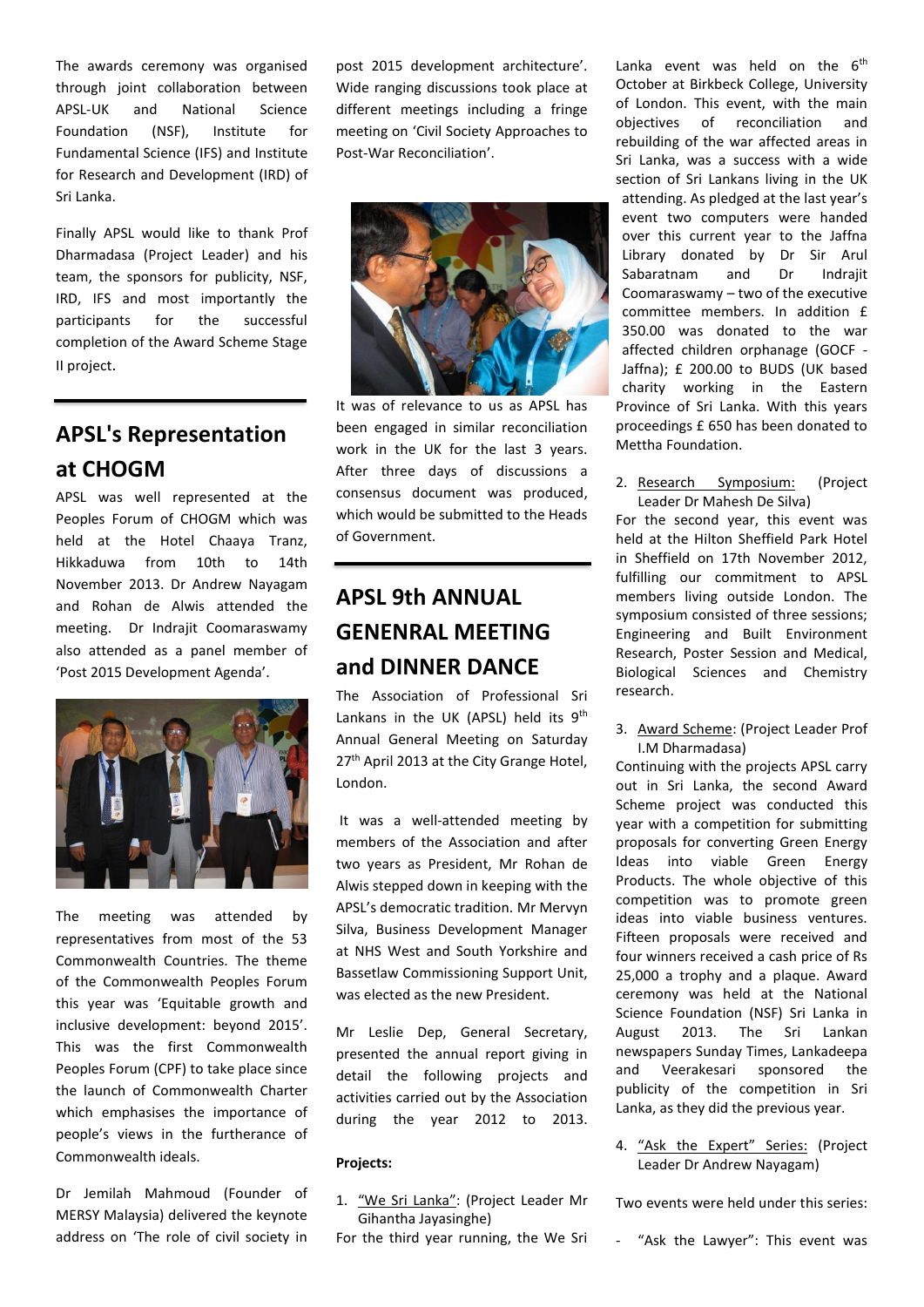The awards ceremony was organised through joint collaboration between APSL-UK and National Science Foundation (NSF), Institute for Fundamental Science (IFS) and Institute for Research and Development (IRD) of Sri Lanka.

Finally APSL would like to thank Prof Dharmadasa (Project Leader) and his team, the sponsors for publicity, NSF, IRD, IFS and most importantly the participants for the successful completion of the Award Scheme Stage II project.

### **APSL's Representation at CHOGM**

APSL was well represented at the Peoples Forum of CHOGM which was held at the Hotel Chaaya Tranz, Hikkaduwa from 10th to 14th November 2013. Dr Andrew Nayagam and Rohan de Alwis attended the meeting. Dr Indrajit Coomaraswamy also attended as a panel member of 'Post 2015 Development Agenda'.



The meeting was attended by representatives from most of the 53 Commonwealth Countries. The theme of the Commonwealth Peoples Forum this year was 'Equitable growth and inclusive development: beyond 2015'. This was the first Commonwealth Peoples Forum (CPF) to take place since the launch of Commonwealth Charter which emphasises the importance of people's views in the furtherance of Commonwealth ideals.

Dr Jemilah Mahmoud (Founder of MERSY Malaysia) delivered the keynote address on 'The role of civil society in post 2015 development architecture'. Wide ranging discussions took place at different meetings including a fringe meeting on 'Civil Society Approaches to Post-War Reconciliation'.



It was of relevance to us as APSL has been engaged in similar reconciliation work in the UK for the last 3 years. After three days of discussions a consensus document was produced, which would be submitted to the Heads of Government.

## **APSL 9th ANNUAL GENENRAL MEETING and DINNER DANCE**

The Association of Professional Sri Lankans in the UK (APSL) held its  $9<sup>th</sup>$ Annual General Meeting on Saturday 27<sup>th</sup> April 2013 at the City Grange Hotel, London.

It was a well-attended meeting by members of the Association and after two years as President, Mr Rohan de Alwis stepped down in keeping with the APSL's democratic tradition. Mr Mervyn Silva, Business Development Manager at NHS West and South Yorkshire and Bassetlaw Commissioning Support Unit, was elected as the new President.

Mr Leslie Dep, General Secretary, presented the annual report giving in detail the following projects and activities carried out by the Association during the year 2012 to 2013.

### **Projects:**

1. "We Sri Lanka": (Project Leader Mr Gihantha Jayasinghe)

For the third year running, the We Sri

Lanka event was held on the  $6<sup>th</sup>$ October at Birkbeck College, University of London. This event, with the main objectives of reconciliation and rebuilding of the war affected areas in Sri Lanka, was a success with a wide section of Sri Lankans living in the UK attending. As pledged at the last year's event two computers were handed over this current year to the Jaffna Library donated by Dr Sir Arul Sabaratnam and Dr Indrajit Coomaraswamy – two of the executive committee members. In addition £ 350.00 was donated to the war affected children orphanage (GOCF - Jaffna); £ 200.00 to BUDS (UK based charity working in the Eastern Province of Sri Lanka. With this years proceedings £ 650 has been donated to Mettha Foundation.

2. Research Symposium: (Project Leader Dr Mahesh De Silva)

For the second year, this event was held at the Hilton Sheffield Park Hotel in Sheffield on 17th November 2012, fulfilling our commitment to APSL members living outside London. The symposium consisted of three sessions; Engineering and Built Environment Research, Poster Session and Medical, Biological Sciences and Chemistry research.

3. Award Scheme: (Project Leader Prof I.M Dharmadasa)

Continuing with the projects APSL carry out in Sri Lanka, the second Award Scheme project was conducted this year with a competition for submitting proposals for converting Green Energy Ideas into viable Green Energy Products. The whole objective of this competition was to promote green ideas into viable business ventures. Fifteen proposals were received and four winners received a cash price of Rs 25,000 a trophy and a plaque. Award ceremony was held at the National Science Foundation (NSF) Sri Lanka in August 2013. The Sri Lankan newspapers Sunday Times, Lankadeepa and Veerakesari sponsored the publicity of the competition in Sri Lanka, as they did the previous year.

4. "Ask the Expert" Series: (Project Leader Dr Andrew Nayagam)

Two events were held under this series: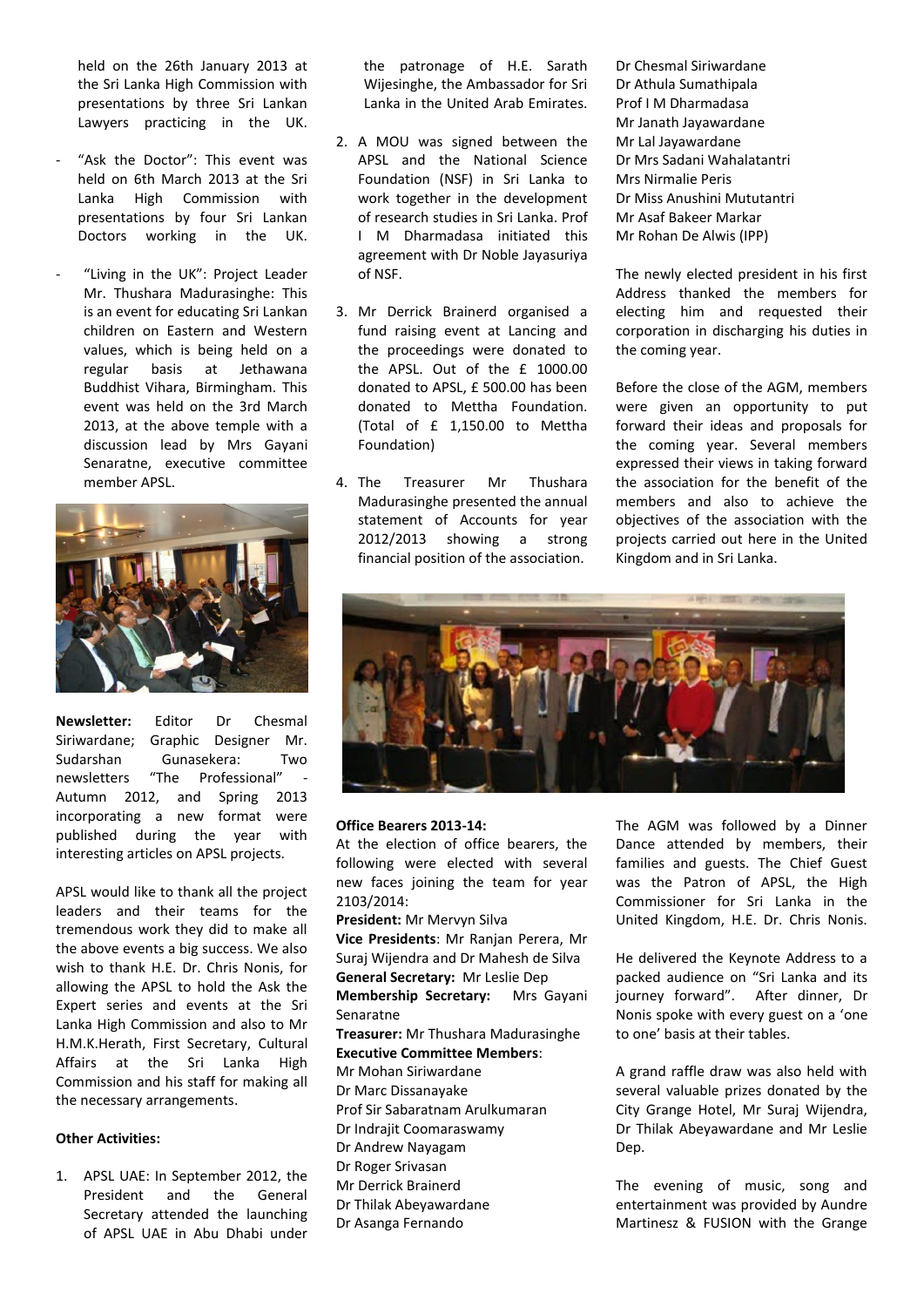held on the 26th January 2013 at the Sri Lanka High Commission with presentations by three Sri Lankan Lawyers practicing in the UK.

- "Ask the Doctor": This event was held on 6th March 2013 at the Sri Lanka High Commission with presentations by four Sri Lankan Doctors working in the UK.
- "Living in the UK": Project Leader Mr. Thushara Madurasinghe: This is an event for educating Sri Lankan children on Eastern and Western values, which is being held on a regular basis at Jethawana Buddhist Vihara, Birmingham. This event was held on the 3rd March 2013, at the above temple with a discussion lead by Mrs Gayani Senaratne, executive committee member APSL.



**Newsletter:** Editor Dr Chesmal Siriwardane; Graphic Designer Mr. Sudarshan Gunasekera: Two newsletters "The Professional" Autumn 2012, and Spring 2013 incorporating a new format were published during the year with interesting articles on APSL projects.

APSL would like to thank all the project leaders and their teams for the tremendous work they did to make all the above events a big success. We also wish to thank H.E. Dr. Chris Nonis, for allowing the APSL to hold the Ask the Expert series and events at the Sri Lanka High Commission and also to Mr H.M.K.Herath, First Secretary, Cultural Affairs at the Sri Lanka High Commission and his staff for making all the necessary arrangements.

#### **Other Activities:**

1. APSL UAE: In September 2012, the President and the General Secretary attended the launching of APSL UAE in Abu Dhabi under the patronage of H.E. Sarath Wijesinghe, the Ambassador for Sri Lanka in the United Arab Emirates.

- 2. A MOU was signed between the APSL and the National Science Foundation (NSF) in Sri Lanka to work together in the development of research studies in Sri Lanka. Prof I M Dharmadasa initiated this agreement with Dr Noble Jayasuriya of NSF.
- 3. Mr Derrick Brainerd organised a fund raising event at Lancing and the proceedings were donated to the APSL. Out of the £ 1000.00 donated to APSL, £ 500.00 has been donated to Mettha Foundation. (Total of £ 1,150.00 to Mettha Foundation)
- 4. The Treasurer Mr Thushara Madurasinghe presented the annual statement of Accounts for year 2012/2013 showing a strong financial position of the association.

Dr Chesmal Siriwardane Dr Athula Sumathipala Prof I M Dharmadasa Mr Janath Jayawardane Mr Lal Jayawardane Dr Mrs Sadani Wahalatantri Mrs Nirmalie Peris Dr Miss Anushini Mututantri Mr Asaf Bakeer Markar Mr Rohan De Alwis (IPP)

The newly elected president in his first Address thanked the members for electing him and requested their corporation in discharging his duties in the coming year.

Before the close of the AGM, members were given an opportunity to put forward their ideas and proposals for the coming year. Several members expressed their views in taking forward the association for the benefit of the members and also to achieve the objectives of the association with the projects carried out here in the United Kingdom and in Sri Lanka.



#### **Office Bearers 2013-14:**

Dr Asanga Fernando

At the election of office bearers, the following were elected with several new faces joining the team for year 2103/2014:

**President:** Mr Mervyn Silva **Vice Presidents**: Mr Ranjan Perera, Mr Suraj Wijendra and Dr Mahesh de Silva **General Secretary:** Mr Leslie Dep **Membership Secretary:** Mrs Gayani Senaratne **Treasurer:** Mr Thushara Madurasinghe **Executive Committee Members**: Mr Mohan Siriwardane Dr Marc Dissanayake Prof Sir Sabaratnam Arulkumaran Dr Indrajit Coomaraswamy Dr Andrew Nayagam Dr Roger Srivasan Mr Derrick Brainerd Dr Thilak Abeyawardane

The AGM was followed by a Dinner Dance attended by members, their families and guests. The Chief Guest was the Patron of APSL, the High Commissioner for Sri Lanka in the United Kingdom, H.E. Dr. Chris Nonis.

He delivered the Keynote Address to a packed audience on "Sri Lanka and its journey forward". After dinner, Dr Nonis spoke with every guest on a 'one to one' basis at their tables.

A grand raffle draw was also held with several valuable prizes donated by the City Grange Hotel, Mr Suraj Wijendra, Dr Thilak Abeyawardane and Mr Leslie Dep.

The evening of music, song and entertainment was provided by Aundre Martinesz & FUSION with the Grange